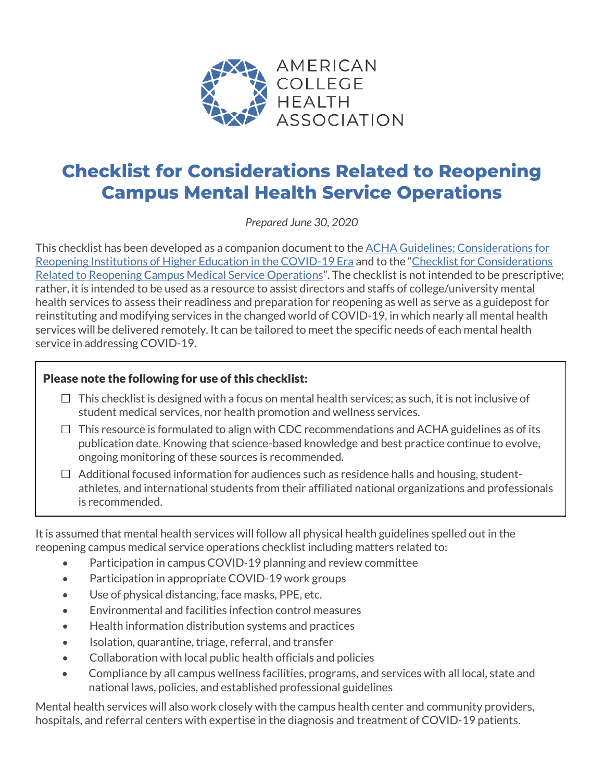

# **Checklist for Considerations Related to Reopening Campus Mental Health Service Operations**

*Prepared June 30, 2020*

This checklist has been developed as a companion document to the ACHA Guidelines: [Considerations for](https://www.acha.org/documents/resources/guidelines/ACHA_Considerations_for_Reopening_IHEs_in_the_COVID-19_Era_May2020.pdf)  [Reopening Institutions of Higher Education in the COVID-19 Era](https://www.acha.org/documents/resources/guidelines/ACHA_Considerations_for_Reopening_IHEs_in_the_COVID-19_Era_May2020.pdf) and to the ["Checklist for Considerations](https://www.acha.org/documents/Resources/COVID_19/ACHA_COVID-19_SHS_Checklist_6.29.2020.pdf)  [Related to Reopening Campus Medical Service Operations"](https://www.acha.org/documents/Resources/COVID_19/ACHA_COVID-19_SHS_Checklist_6.29.2020.pdf). The checklist is not intended to be prescriptive; rather, it is intended to be used as a resource to assist directors and staffs of college/university mental health services to assess their readiness and preparation for reopening as well as serve as a guidepost for reinstituting and modifying services in the changed world of COVID-19, in which nearly all mental health services will be delivered remotely. It can be tailored to meet the specific needs of each mental health service in addressing COVID-19.

#### Please note the following for use of this checklist:

- $\Box$  This checklist is designed with a focus on mental health services; as such, it is not inclusive of student medical services, nor health promotion and wellness services.
- $\Box$  This resource is formulated to align with CDC recommendations and ACHA guidelines as of its publication date. Knowing that science-based knowledge and best practice continue to evolve, ongoing monitoring of these sources is recommended.
- $\Box$  Additional focused information for audiences such as residence halls and housing, studentathletes, and international students from their affiliated national organizations and professionals is recommended.

It is assumed that mental health services will follow all physical health guidelines spelled out in the reopening campus medical service operations checklist including matters related to:

- Participation in campus COVID-19 planning and review committee
- Participation in appropriate COVID-19 work groups
- Use of physical distancing, face masks, PPE, etc.
- Environmental and facilities infection control measures
- Health information distribution systems and practices
- Isolation, quarantine, triage, referral, and transfer
- Collaboration with local public health officials and policies
- Compliance by all campus wellness facilities, programs, and services with all local, state and national laws, policies, and established professional guidelines

Mental health services will also work closely with the campus health center and community providers, hospitals, and referral centers with expertise in the diagnosis and treatment of COVID-19 patients.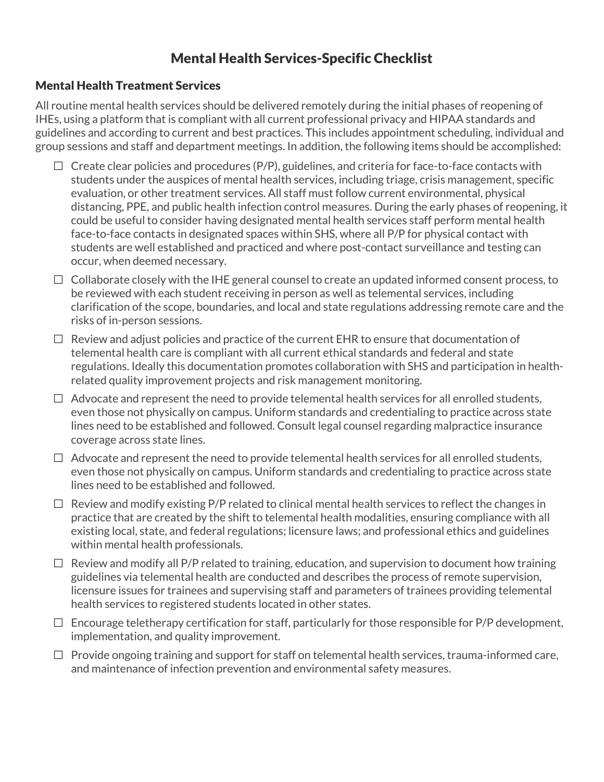## Mental Health Services-Specific Checklist

#### Mental Health Treatment Services

All routine mental health services should be delivered remotely during the initial phases of reopening of IHEs, using a platform that is compliant with all current professional privacy and HIPAA standards and guidelines and according to current and best practices. This includes appointment scheduling, individual and group sessions and staff and department meetings. In addition, the following items should be accomplished:

- $\Box$  Create clear policies and procedures (P/P), guidelines, and criteria for face-to-face contacts with students under the auspices of mental health services, including triage, crisis management, specific evaluation, or other treatment services. All staff must follow current environmental, physical distancing, PPE, and public health infection control measures. During the early phases of reopening, it could be useful to consider having designated mental health services staff perform mental health face-to-face contacts in designated spaces within SHS, where all P/P for physical contact with students are well established and practiced and where post-contact surveillance and testing can occur, when deemed necessary.
- $\Box$  Collaborate closely with the IHE general counsel to create an updated informed consent process, to be reviewed with each student receiving in person as well as telemental services, including clarification of the scope, boundaries, and local and state regulations addressing remote care and the risks of in-person sessions.
- $\Box$  Review and adjust policies and practice of the current EHR to ensure that documentation of telemental health care is compliant with all current ethical standards and federal and state regulations. Ideally this documentation promotes collaboration with SHS and participation in healthrelated quality improvement projects and risk management monitoring.
- $\Box$  Advocate and represent the need to provide telemental health services for all enrolled students, even those not physically on campus. Uniform standards and credentialing to practice across state lines need to be established and followed. Consult legal counsel regarding malpractice insurance coverage across state lines.
- $\Box$  Advocate and represent the need to provide telemental health services for all enrolled students, even those not physically on campus. Uniform standards and credentialing to practice across state lines need to be established and followed.
- $\Box$  Review and modify existing P/P related to clinical mental health services to reflect the changes in practice that are created by the shift to telemental health modalities, ensuring compliance with all existing local, state, and federal regulations; licensure laws; and professional ethics and guidelines within mental health professionals.
- $\Box$  Review and modify all P/P related to training, education, and supervision to document how training guidelines via telemental health are conducted and describes the process of remote supervision, licensure issues for trainees and supervising staff and parameters of trainees providing telemental health services to registered students located in other states.
- $\Box$  Encourage teletherapy certification for staff, particularly for those responsible for P/P development, implementation, and quality improvement.
- $\Box$  Provide ongoing training and support for staff on telemental health services, trauma-informed care, and maintenance of infection prevention and environmental safety measures.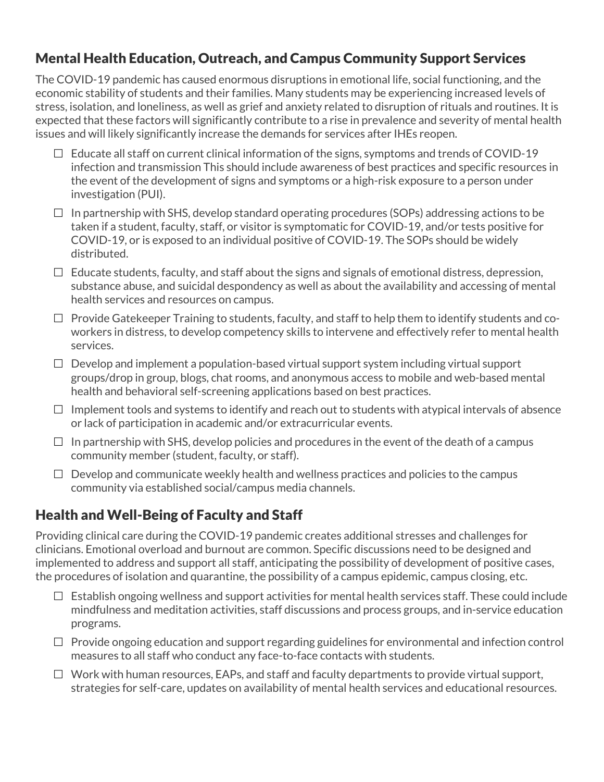## Mental Health Education, Outreach, and Campus Community Support Services

The COVID-19 pandemic has caused enormous disruptions in emotional life, social functioning, and the economic stability of students and their families. Many students may be experiencing increased levels of stress, isolation, and loneliness, as well as grief and anxiety related to disruption of rituals and routines. It is expected that these factors will significantly contribute to a rise in prevalence and severity of mental health issues and will likely significantly increase the demands for services after IHEs reopen.

- $\Box$  Educate all staff on current clinical information of the signs, symptoms and trends of COVID-19 infection and transmission This should include awareness of best practices and specific resources in the event of the development of signs and symptoms or a high-risk exposure to a person under investigation (PUI).
- $\Box$  In partnership with SHS, develop standard operating procedures (SOPs) addressing actions to be taken if a student, faculty, staff, or visitor is symptomatic for COVID-19, and/or tests positive for COVID-19, or is exposed to an individual positive of COVID-19. The SOPs should be widely distributed.
- $\Box$  Educate students, faculty, and staff about the signs and signals of emotional distress, depression, substance abuse, and suicidal despondency as well as about the availability and accessing of mental health services and resources on campus.
- $\Box$  Provide Gatekeeper Training to students, faculty, and staff to help them to identify students and coworkers in distress, to develop competency skills to intervene and effectively refer to mental health services.
- $\Box$  Develop and implement a population-based virtual support system including virtual support groups/drop in group, blogs, chat rooms, and anonymous access to mobile and web-based mental health and behavioral self-screening applications based on best practices.
- $\Box$  Implement tools and systems to identify and reach out to students with atypical intervals of absence or lack of participation in academic and/or extracurricular events.
- $\Box$  In partnership with SHS, develop policies and procedures in the event of the death of a campus community member (student, faculty, or staff).
- $\Box$  Develop and communicate weekly health and wellness practices and policies to the campus community via established social/campus media channels.

## Health and Well-Being of Faculty and Staff

Providing clinical care during the COVID-19 pandemic creates additional stresses and challenges for clinicians. Emotional overload and burnout are common. Specific discussions need to be designed and implemented to address and support all staff, anticipating the possibility of development of positive cases, the procedures of isolation and quarantine, the possibility of a campus epidemic, campus closing, etc.

- $\Box$  Establish ongoing wellness and support activities for mental health services staff. These could include mindfulness and meditation activities, staff discussions and process groups, and in-service education programs.
- $\Box$  Provide ongoing education and support regarding guidelines for environmental and infection control measures to all staff who conduct any face-to-face contacts with students.
- $\Box$  Work with human resources, EAPs, and staff and faculty departments to provide virtual support, strategies for self-care, updates on availability of mental health services and educational resources.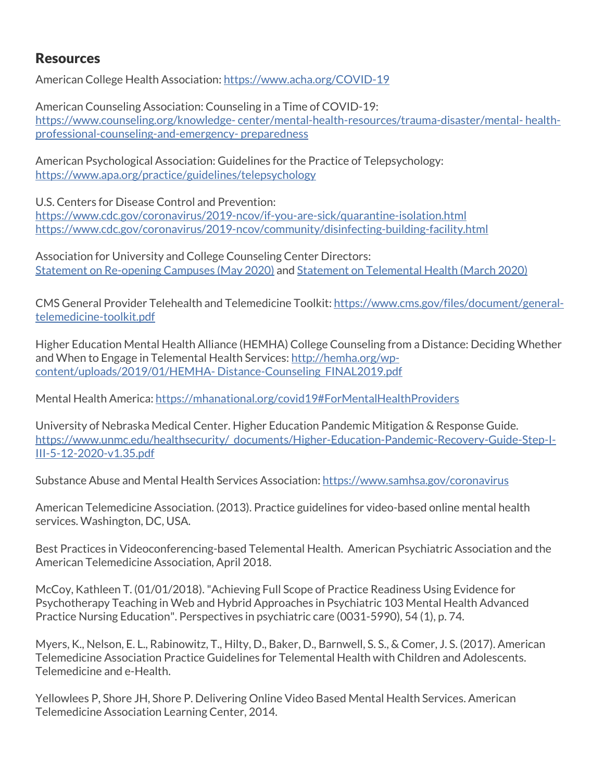### Resources

American College Health Association:<https://www.acha.org/COVID-19>

American Counseling Association: Counseling in a Time of COVID-19: https://www.counseling.org/knowledge- [center/mental-health-resources/trauma-disaster/mental-](https://www.counseling.org/knowledge-%20center/mental-health-resources/trauma-disaster/mental-%20health-professional-counseling-and-emergency-%20preparedness) health[professional-counseling-and-emergency-](https://www.counseling.org/knowledge-%20center/mental-health-resources/trauma-disaster/mental-%20health-professional-counseling-and-emergency-%20preparedness) preparedness

[American Psychological Association:](https://www.apa.org/about/contact/copyright) Guidelines for the Practice of Telepsychology: <https://www.apa.org/practice/guidelines/telepsychology>

U.S. Centers for Disease Control and Prevention:

<https://www.cdc.gov/coronavirus/2019-ncov/if-you-are-sick/quarantine-isolation.html> <https://www.cdc.gov/coronavirus/2019-ncov/community/disinfecting-building-facility.html>

Association for University and College Counseling Center Directors: [Statement on Re-opening Campuses](https://www.aucccd.org/assets/documents/StatementsPressReleases/AUCCCD%20Statement%20on%20Re-opening%20Campuses%20May%202020.pdf) (May 2020) an[d Statement on Telemental Health](https://www.aucccd.org/assets/documents/Governance/AUCCCD%20Statement%20on%20Telemental%20Health.pdf) (March 2020)

CMS General Provider Telehealth and Telemedicine Toolkit[: https://www.cms.gov/files/document/general](https://www.cms.gov/files/document/general-telemedicine-toolkit.pdf)[telemedicine-toolkit.pdf](https://www.cms.gov/files/document/general-telemedicine-toolkit.pdf)

Higher Education Mental Health Alliance (HEMHA) College Counseling from a Distance: Deciding Whether and When to Engage in Telemental Health Services[: http://hemha.org/wp](http://hemha.org/wp-content/uploads/2019/01/HEMHA-%20Distance-Counseling_FINAL2019.pdf)content/uploads/2019/01/HEMHA- [Distance-Counseling\\_FINAL2019.pdf](http://hemha.org/wp-content/uploads/2019/01/HEMHA-%20Distance-Counseling_FINAL2019.pdf)

Mental Health America:<https://mhanational.org/covid19#ForMentalHealthProviders>

University of Nebraska Medical Center. Higher Education Pandemic Mitigation & Response Guide. [https://www.unmc.edu/healthsecurity/\\_documents/Higher-Education-Pandemic-Recovery-Guide-Step-I-](https://www.unmc.edu/healthsecurity/_documents/Higher-Education-Pandemic-Recovery-Guide-Step-I-III-5-12-2020-v1.35.pdf)[III-5-12-2020-v1.35.pdf](https://www.unmc.edu/healthsecurity/_documents/Higher-Education-Pandemic-Recovery-Guide-Step-I-III-5-12-2020-v1.35.pdf)

Substance Abuse and Mental Health Services Association[: https://www.samhsa.gov/coronavirus](https://www.samhsa.gov/coronavirus)

American Telemedicine Association. (2013). Practice guidelines for video-based online mental health services. Washington, DC, USA.

Best Practices in Videoconferencing-based Telemental Health. American Psychiatric Association and the American Telemedicine Association, April 2018.

McCoy, Kathleen T. (01/01/2018). "Achieving Full Scope of Practice Readiness Using Evidence for Psychotherapy Teaching in Web and Hybrid Approaches in Psychiatric 103 Mental Health Advanced Practice Nursing Education". Perspectives in psychiatric care (0031-5990), 54 (1), p. 74.

Myers, K., Nelson, E. L., Rabinowitz, T., Hilty, D., Baker, D., Barnwell, S. S., & Comer, J. S. (2017). American Telemedicine Association Practice Guidelines for Telemental Health with Children and Adolescents. Telemedicine and e-Health.

Yellowlees P, Shore JH, Shore P. Delivering Online Video Based Mental Health Services. American Telemedicine Association Learning Center, 2014.